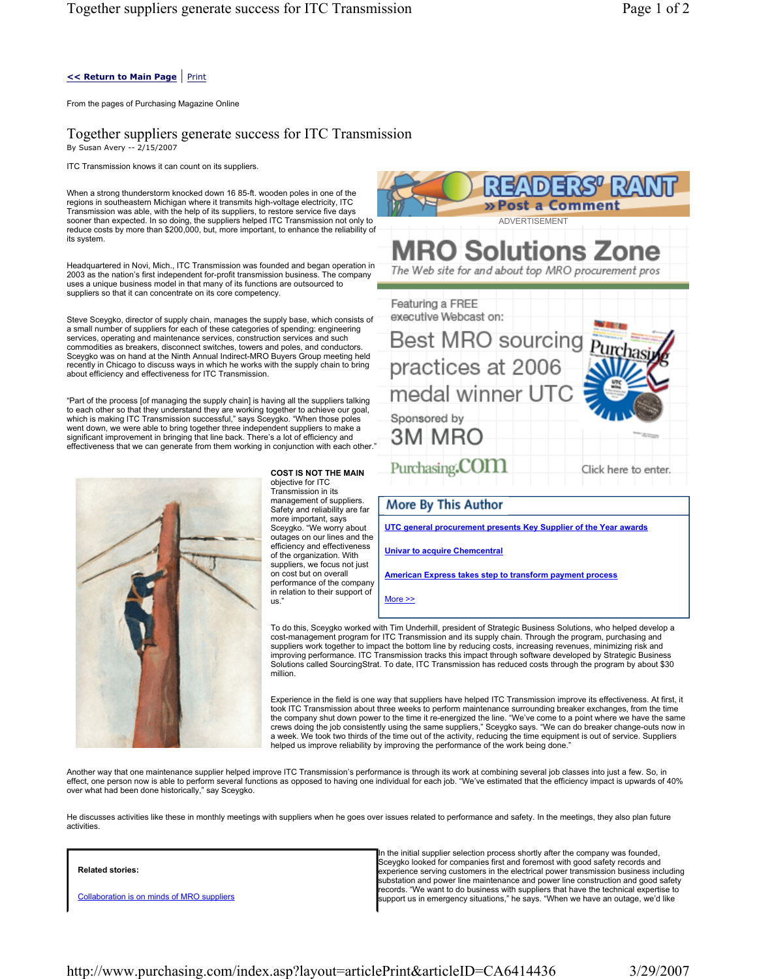### **<< Return to Main Page** | Print

From the pages of Purchasing Magazine Online

Together suppliers generate success for ITC Transmission By Susan Avery -- 2/15/2007

ITC Transmission knows it can count on its suppliers.

When a strong thunderstorm knocked down 16 85-ft. wooden poles in one of the regions in southeastern Michigan where it transmits high-voltage electricity, ITC Transmission was able, with the help of its suppliers, to restore service five days sooner than expected. In so doing, the suppliers helped ITC Transmission not only to reduce costs by more than \$200,000, but, more important, to enhance the reliability of its system.

Headquartered in Novi, Mich., ITC Transmission was founded and began operation in 2003 as the nation's first independent for-profit transmission business. The company uses a unique business model in that many of its functions are outsourced to suppliers so that it can concentrate on its core competency.

Steve Sceygko, director of supply chain, manages the supply base, which consists of a small number of suppliers for each of these categories of spending: engineering services, operating and maintenance services, construction services and such commodities as breakers, disconnect switches, towers and poles, and conductors. Sceygko was on hand at the Ninth Annual Indirect-MRO Buyers Group meeting held recently in Chicago to discuss ways in which he works with the supply chain to bring about efficiency and effectiveness for ITC Transmission.

"Part of the process [of managing the supply chain] is having all the suppliers talking to each other so that they understand they are working together to achieve our goal,<br>which is making ITC Transmission successful," says Sceygko. "When those poles<br>went down, we were able to bring together three independent effectiveness that we can generate from them working in conjunction with each other."



**COST IS NOT THE MAIN** objective for ITC Transmission in its management of suppliers. Safety and reliability are far more important, says Sceygko. "We worry about outages on our lines and the efficiency and effectiveness of the organization. With suppliers, we focus not just on cost but on overall performance of the company in relation to their support of us."



More >>

To do this, Sceygko worked with Tim Underhill, president of Strategic Business Solutions, who helped develop a cost-management program for ITC Transmission and its supply chain. Through the program, purchasing and suppliers work together to impact the bottom line by reducing costs, increasing revenues, minimizing risk and improving performance. ITC Transmission tracks this impact through software developed by Strategic Business Solutions called SourcingStrat. To date, ITC Transmission has reduced costs through the program by about \$30 million.

Experience in the field is one way that suppliers have helped ITC Transmission improve its effectiveness. At first, it took ITC Transmission about three weeks to perform maintenance surrounding breaker exchanges, from the time the company shut down power to the time it re-energized the line. "We've come to a point where we have the same crews doing the job consistently using the same suppliers," Sceygko says. "We can do breaker change-outs now in a week. We took two thirds of the time out of the activity, reducing the time equipment is out of service. Suppliers helped us improve reliability by improving the performance of the work being done."

Another way that one maintenance supplier helped improve ITC Transmission's performance is through its work at combining several job classes into just a few. So, in effect, one person now is able to perform several functions as opposed to having one individual for each job. "We've estimated that the efficiency impact is upwards of 40% over what had been done historically," say Sceygko.

He discusses activities like these in monthly meetings with suppliers when he goes over issues related to performance and safety. In the meetings, they also plan future activities.

#### **Related stories:**

Collaboration is on minds of MRO suppliers

In the initial supplier selection process shortly after the company was founded, Sceygko looked for companies first and foremost with good safety records and experience serving customers in the electrical power transmission business including substation and power line maintenance and power line construction and good safety records. "We want to do business with suppliers that have the technical expertise to support us in emergency situations," he says. "When we have an outage, we'd like

http://www.purchasing.com/index.asp?layout=articlePrint&articleID=CA6414436 3/29/2007